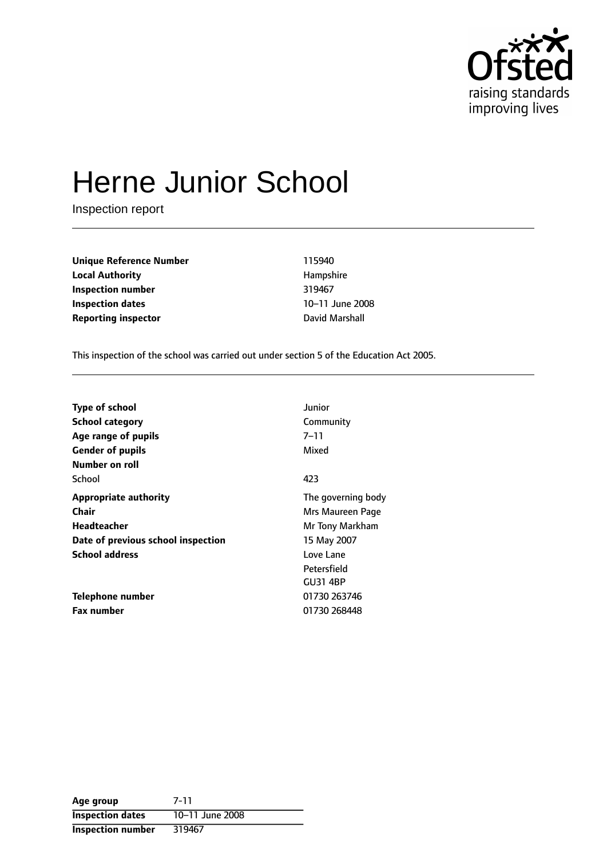

# Herne Junior School

Inspection report

**Unique Reference Number** 115940 **Local Authority Hampshire Inspection number** 319467 **Inspection dates** 10-11 June 2008 **Reporting inspector Contract Contract Contract Contract Contract Contract Contract David Marshall** 

This inspection of the school was carried out under section 5 of the Education Act 2005.

| <b>Type of school</b>              | Junior             |
|------------------------------------|--------------------|
| <b>School category</b>             | Community          |
| Age range of pupils                | 7–11               |
| <b>Gender of pupils</b>            | Mixed              |
| Number on roll                     |                    |
| School                             | 423                |
| <b>Appropriate authority</b>       | The governing body |
| <b>Chair</b>                       | Mrs Maureen Page   |
| <b>Headteacher</b>                 | Mr Tony Markham    |
| Date of previous school inspection | 15 May 2007        |
| <b>School address</b>              | Love Lane          |
|                                    | Petersfield        |
|                                    | <b>GU31 4BP</b>    |
| Telephone number                   | 01730 263746       |
| <b>Fax number</b>                  | 01730 268448       |

| Age group                | 7-11            |
|--------------------------|-----------------|
| <b>Inspection dates</b>  | 10-11 June 2008 |
| <b>Inspection number</b> | 319467          |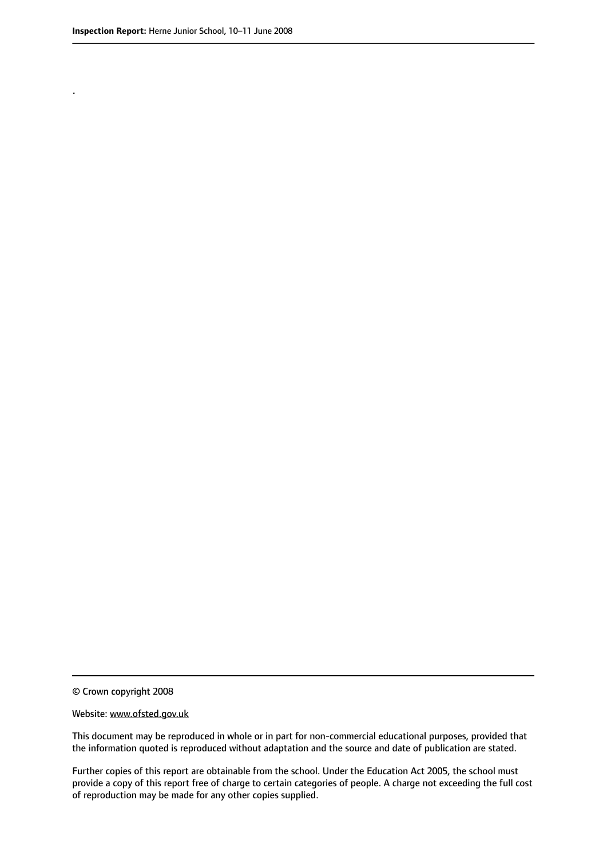.

© Crown copyright 2008

#### Website: www.ofsted.gov.uk

This document may be reproduced in whole or in part for non-commercial educational purposes, provided that the information quoted is reproduced without adaptation and the source and date of publication are stated.

Further copies of this report are obtainable from the school. Under the Education Act 2005, the school must provide a copy of this report free of charge to certain categories of people. A charge not exceeding the full cost of reproduction may be made for any other copies supplied.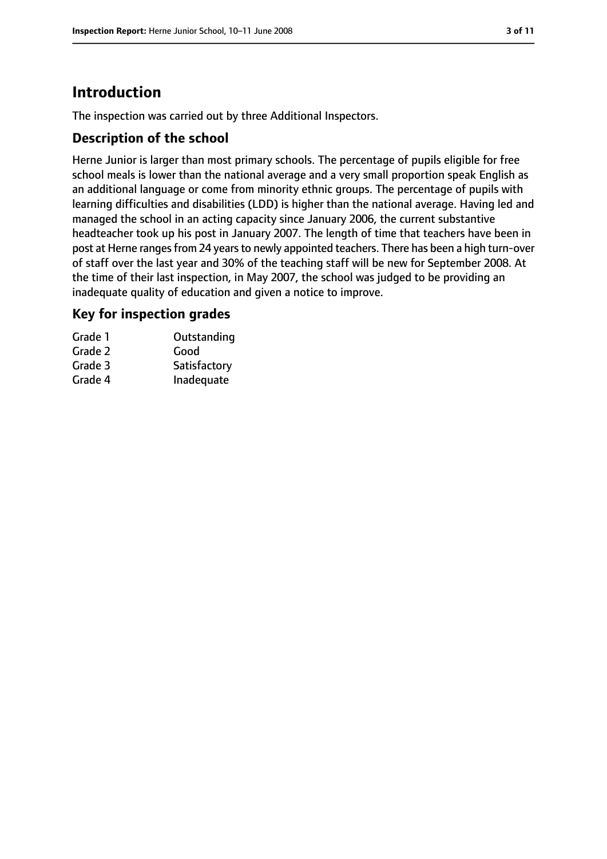# **Introduction**

The inspection was carried out by three Additional Inspectors.

### **Description of the school**

Herne Junior is larger than most primary schools. The percentage of pupils eligible for free school meals is lower than the national average and a very small proportion speak English as an additional language or come from minority ethnic groups. The percentage of pupils with learning difficulties and disabilities (LDD) is higher than the national average. Having led and managed the school in an acting capacity since January 2006, the current substantive headteacher took up his post in January 2007. The length of time that teachers have been in post at Herne ranges from 24 years to newly appointed teachers. There has been a high turn-over of staff over the last year and 30% of the teaching staff will be new for September 2008. At the time of their last inspection, in May 2007, the school was judged to be providing an inadequate quality of education and given a notice to improve.

### **Key for inspection grades**

| Outstanding  |
|--------------|
| Good         |
| Satisfactory |
| Inadequate   |
|              |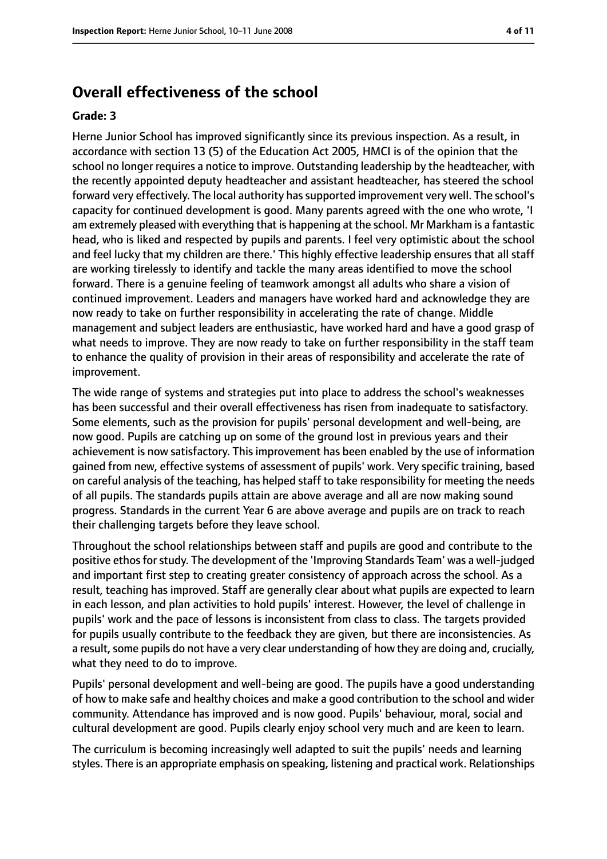## **Overall effectiveness of the school**

#### **Grade: 3**

Herne Junior School has improved significantly since its previous inspection. As a result, in accordance with section 13 (5) of the Education Act 2005, HMCI is of the opinion that the school no longer requires a notice to improve. Outstanding leadership by the headteacher, with the recently appointed deputy headteacher and assistant headteacher, has steered the school forward very effectively. The local authority hassupported improvement very well. The school's capacity for continued development is good. Many parents agreed with the one who wrote, 'I am extremely pleased with everything that is happening at the school. Mr Markham is a fantastic head, who is liked and respected by pupils and parents. I feel very optimistic about the school and feel lucky that my children are there.' This highly effective leadership ensures that all staff are working tirelessly to identify and tackle the many areas identified to move the school forward. There is a genuine feeling of teamwork amongst all adults who share a vision of continued improvement. Leaders and managers have worked hard and acknowledge they are now ready to take on further responsibility in accelerating the rate of change. Middle management and subject leaders are enthusiastic, have worked hard and have a good grasp of what needs to improve. They are now ready to take on further responsibility in the staff team to enhance the quality of provision in their areas of responsibility and accelerate the rate of improvement.

The wide range of systems and strategies put into place to address the school's weaknesses has been successful and their overall effectiveness has risen from inadequate to satisfactory. Some elements, such as the provision for pupils' personal development and well-being, are now good. Pupils are catching up on some of the ground lost in previous years and their achievement is now satisfactory. This improvement has been enabled by the use of information gained from new, effective systems of assessment of pupils' work. Very specific training, based on careful analysis of the teaching, has helped staff to take responsibility for meeting the needs of all pupils. The standards pupils attain are above average and all are now making sound progress. Standards in the current Year 6 are above average and pupils are on track to reach their challenging targets before they leave school.

Throughout the school relationships between staff and pupils are good and contribute to the positive ethos for study. The development of the 'Improving Standards Team' was a well-judged and important first step to creating greater consistency of approach across the school. As a result, teaching has improved. Staff are generally clear about what pupils are expected to learn in each lesson, and plan activities to hold pupils' interest. However, the level of challenge in pupils' work and the pace of lessons is inconsistent from class to class. The targets provided for pupils usually contribute to the feedback they are given, but there are inconsistencies. As a result, some pupils do not have a very clear understanding of how they are doing and, crucially, what they need to do to improve.

Pupils' personal development and well-being are good. The pupils have a good understanding of how to make safe and healthy choices and make a good contribution to the school and wider community. Attendance has improved and is now good. Pupils' behaviour, moral, social and cultural development are good. Pupils clearly enjoy school very much and are keen to learn.

The curriculum is becoming increasingly well adapted to suit the pupils' needs and learning styles. There is an appropriate emphasis on speaking, listening and practical work. Relationships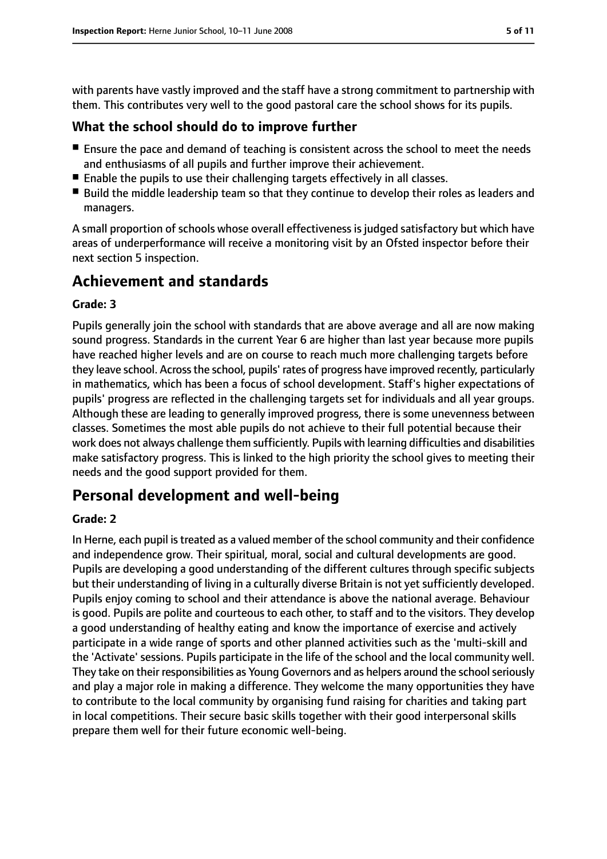with parents have vastly improved and the staff have a strong commitment to partnership with them. This contributes very well to the good pastoral care the school shows for its pupils.

#### **What the school should do to improve further**

- Ensure the pace and demand of teaching is consistent across the school to meet the needs and enthusiasms of all pupils and further improve their achievement.
- Enable the pupils to use their challenging targets effectively in all classes.
- Build the middle leadership team so that they continue to develop their roles as leaders and managers.

A small proportion of schools whose overall effectiveness is judged satisfactory but which have areas of underperformance will receive a monitoring visit by an Ofsted inspector before their next section 5 inspection.

# **Achievement and standards**

#### **Grade: 3**

Pupils generally join the school with standards that are above average and all are now making sound progress. Standards in the current Year 6 are higher than last year because more pupils have reached higher levels and are on course to reach much more challenging targets before they leave school. Across the school, pupils' rates of progress have improved recently, particularly in mathematics, which has been a focus of school development. Staff's higher expectations of pupils' progress are reflected in the challenging targets set for individuals and all year groups. Although these are leading to generally improved progress, there is some unevenness between classes. Sometimes the most able pupils do not achieve to their full potential because their work does not always challenge them sufficiently. Pupils with learning difficulties and disabilities make satisfactory progress. This is linked to the high priority the school gives to meeting their needs and the good support provided for them.

## **Personal development and well-being**

#### **Grade: 2**

In Herne, each pupil is treated as a valued member of the school community and their confidence and independence grow. Their spiritual, moral, social and cultural developments are good. Pupils are developing a good understanding of the different cultures through specific subjects but their understanding of living in a culturally diverse Britain is not yet sufficiently developed. Pupils enjoy coming to school and their attendance is above the national average. Behaviour is good. Pupils are polite and courteous to each other, to staff and to the visitors. They develop a good understanding of healthy eating and know the importance of exercise and actively participate in a wide range of sports and other planned activities such as the 'multi-skill and the 'Activate' sessions. Pupils participate in the life of the school and the local community well. They take on their responsibilities as Young Governors and as helpers around the school seriously and play a major role in making a difference. They welcome the many opportunities they have to contribute to the local community by organising fund raising for charities and taking part in local competitions. Their secure basic skills together with their good interpersonal skills prepare them well for their future economic well-being.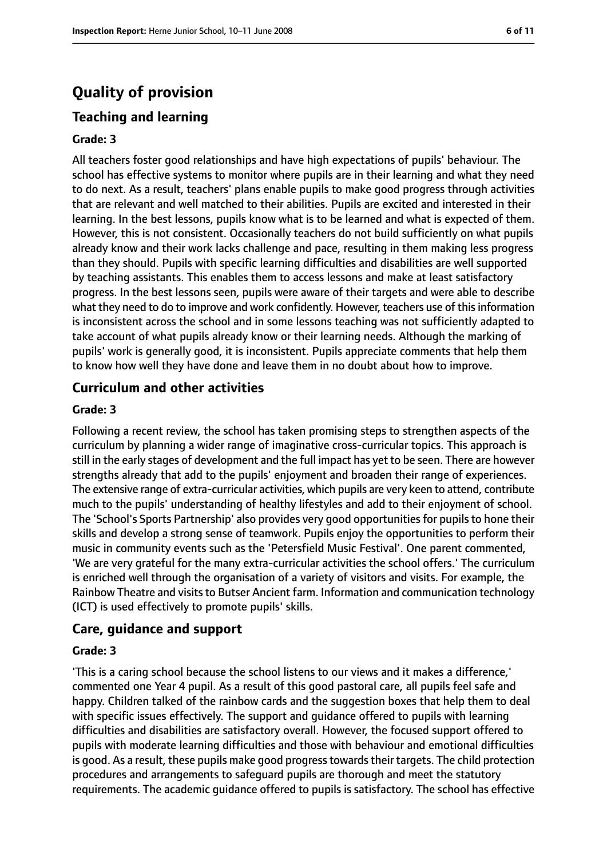# **Quality of provision**

## **Teaching and learning**

#### **Grade: 3**

All teachers foster good relationships and have high expectations of pupils' behaviour. The school has effective systems to monitor where pupils are in their learning and what they need to do next. As a result, teachers' plans enable pupils to make good progress through activities that are relevant and well matched to their abilities. Pupils are excited and interested in their learning. In the best lessons, pupils know what is to be learned and what is expected of them. However, this is not consistent. Occasionally teachers do not build sufficiently on what pupils already know and their work lacks challenge and pace, resulting in them making less progress than they should. Pupils with specific learning difficulties and disabilities are well supported by teaching assistants. This enables them to access lessons and make at least satisfactory progress. In the best lessons seen, pupils were aware of their targets and were able to describe what they need to do to improve and work confidently. However, teachers use of this information is inconsistent across the school and in some lessons teaching was not sufficiently adapted to take account of what pupils already know or their learning needs. Although the marking of pupils' work is generally good, it is inconsistent. Pupils appreciate comments that help them to know how well they have done and leave them in no doubt about how to improve.

#### **Curriculum and other activities**

#### **Grade: 3**

Following a recent review, the school has taken promising steps to strengthen aspects of the curriculum by planning a wider range of imaginative cross-curricular topics. This approach is still in the early stages of development and the full impact has yet to be seen. There are however strengths already that add to the pupils' enjoyment and broaden their range of experiences. The extensive range of extra-curricular activities, which pupils are very keen to attend, contribute much to the pupils' understanding of healthy lifestyles and add to their enjoyment of school. The 'School's Sports Partnership' also provides very good opportunities for pupils to hone their skills and develop a strong sense of teamwork. Pupils enjoy the opportunities to perform their music in community events such as the 'Petersfield Music Festival'. One parent commented, 'We are very grateful for the many extra-curricular activities the school offers.' The curriculum is enriched well through the organisation of a variety of visitors and visits. For example, the Rainbow Theatre and visits to Butser Ancient farm. Information and communication technology (ICT) is used effectively to promote pupils' skills.

#### **Care, guidance and support**

#### **Grade: 3**

'This is a caring school because the school listens to our views and it makes a difference,' commented one Year 4 pupil. As a result of this good pastoral care, all pupils feel safe and happy. Children talked of the rainbow cards and the suggestion boxes that help them to deal with specific issues effectively. The support and guidance offered to pupils with learning difficulties and disabilities are satisfactory overall. However, the focused support offered to pupils with moderate learning difficulties and those with behaviour and emotional difficulties is good. As a result, these pupils make good progress towards their targets. The child protection procedures and arrangements to safeguard pupils are thorough and meet the statutory requirements. The academic guidance offered to pupils is satisfactory. The school has effective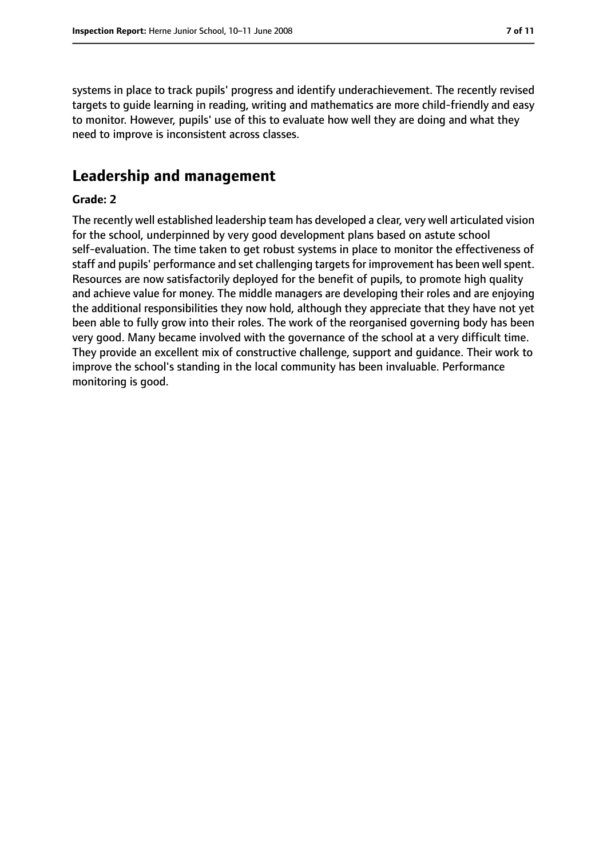systems in place to track pupils' progress and identify underachievement. The recently revised targets to guide learning in reading, writing and mathematics are more child-friendly and easy to monitor. However, pupils' use of this to evaluate how well they are doing and what they need to improve is inconsistent across classes.

## **Leadership and management**

#### **Grade: 2**

The recently well established leadership team has developed a clear, very well articulated vision for the school, underpinned by very good development plans based on astute school self-evaluation. The time taken to get robust systems in place to monitor the effectiveness of staff and pupils' performance and set challenging targets for improvement has been well spent. Resources are now satisfactorily deployed for the benefit of pupils, to promote high quality and achieve value for money. The middle managers are developing their roles and are enjoying the additional responsibilities they now hold, although they appreciate that they have not yet been able to fully grow into their roles. The work of the reorganised governing body has been very good. Many became involved with the governance of the school at a very difficult time. They provide an excellent mix of constructive challenge, support and guidance. Their work to improve the school's standing in the local community has been invaluable. Performance monitoring is good.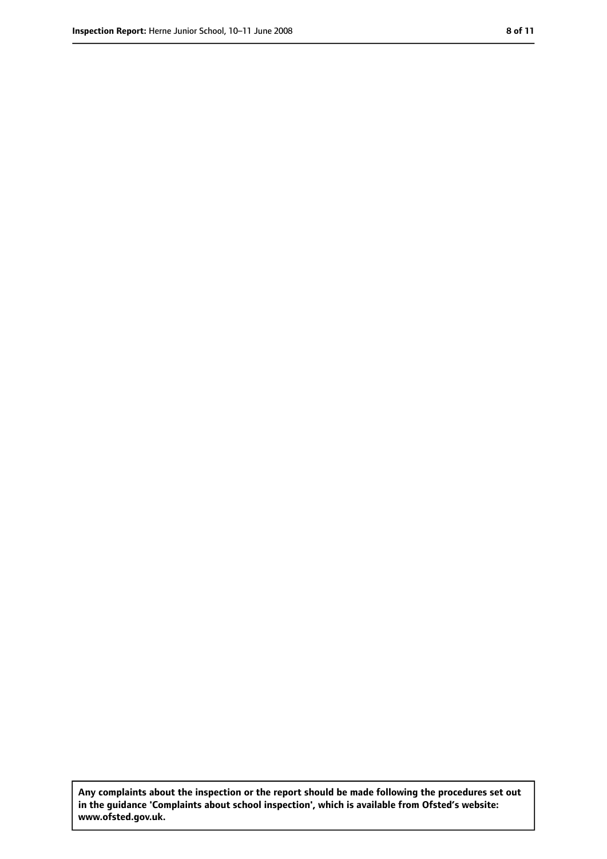**Any complaints about the inspection or the report should be made following the procedures set out in the guidance 'Complaints about school inspection', which is available from Ofsted's website: www.ofsted.gov.uk.**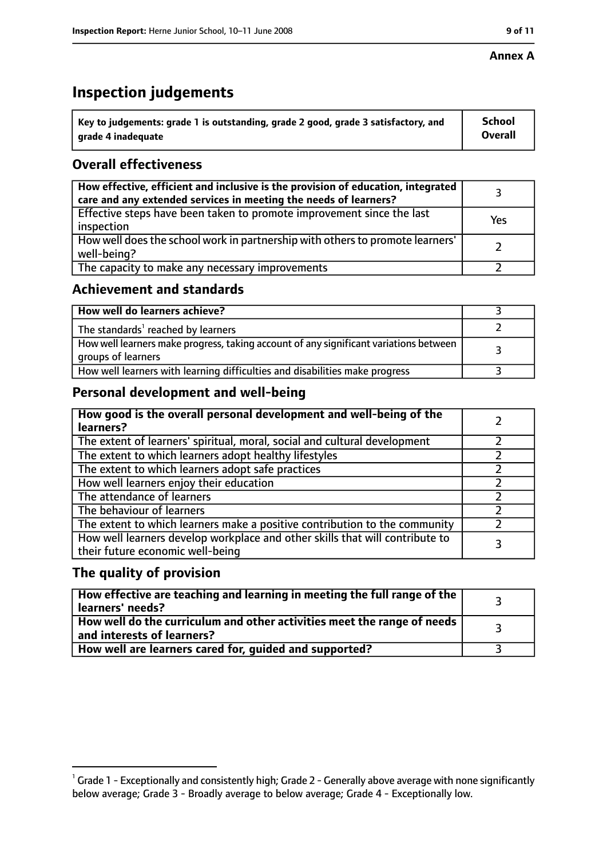#### **Annex A**

# **Inspection judgements**

| $^{\backprime}$ Key to judgements: grade 1 is outstanding, grade 2 good, grade 3 satisfactory, and | <b>School</b>  |
|----------------------------------------------------------------------------------------------------|----------------|
| arade 4 inadeguate                                                                                 | <b>Overall</b> |

## **Overall effectiveness**

| How effective, efficient and inclusive is the provision of education, integrated<br>care and any extended services in meeting the needs of learners? |     |
|------------------------------------------------------------------------------------------------------------------------------------------------------|-----|
| Effective steps have been taken to promote improvement since the last<br>inspection                                                                  | Yes |
| How well does the school work in partnership with others to promote learners'<br>well-being?                                                         |     |
| The capacity to make any necessary improvements                                                                                                      |     |

## **Achievement and standards**

| How well do learners achieve?                                                                               |  |
|-------------------------------------------------------------------------------------------------------------|--|
| The standards <sup>1</sup> reached by learners                                                              |  |
| How well learners make progress, taking account of any significant variations between<br>groups of learners |  |
| How well learners with learning difficulties and disabilities make progress                                 |  |

## **Personal development and well-being**

| How good is the overall personal development and well-being of the<br>learners?                                  |  |
|------------------------------------------------------------------------------------------------------------------|--|
| The extent of learners' spiritual, moral, social and cultural development                                        |  |
| The extent to which learners adopt healthy lifestyles                                                            |  |
| The extent to which learners adopt safe practices                                                                |  |
| How well learners enjoy their education                                                                          |  |
| The attendance of learners                                                                                       |  |
| The behaviour of learners                                                                                        |  |
| The extent to which learners make a positive contribution to the community                                       |  |
| How well learners develop workplace and other skills that will contribute to<br>their future economic well-being |  |

### **The quality of provision**

| $\mid$ How effective are teaching and learning in meeting the full range of the $\mid$<br>learners' needs? |  |
|------------------------------------------------------------------------------------------------------------|--|
| How well do the curriculum and other activities meet the range of needs  <br>and interests of learners?    |  |
| How well are learners cared for, guided and supported?                                                     |  |

 $^1$  Grade 1 - Exceptionally and consistently high; Grade 2 - Generally above average with none significantly below average; Grade 3 - Broadly average to below average; Grade 4 - Exceptionally low.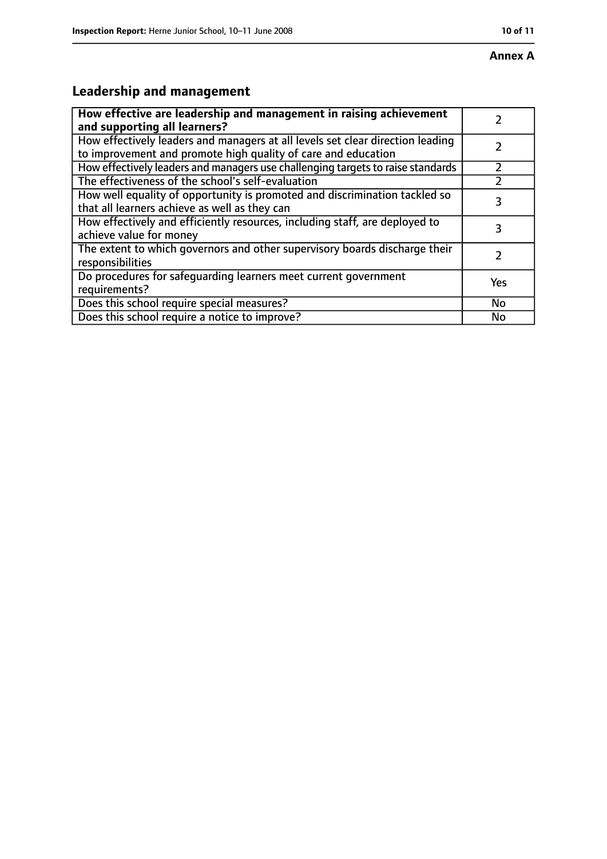# **Annex A**

# **Leadership and management**

| How effective are leadership and management in raising achievement              |     |
|---------------------------------------------------------------------------------|-----|
| and supporting all learners?                                                    |     |
| How effectively leaders and managers at all levels set clear direction leading  |     |
| to improvement and promote high quality of care and education                   |     |
| How effectively leaders and managers use challenging targets to raise standards |     |
| The effectiveness of the school's self-evaluation                               |     |
| How well equality of opportunity is promoted and discrimination tackled so      |     |
| that all learners achieve as well as they can                                   | 3   |
| How effectively and efficiently resources, including staff, are deployed to     | 3   |
| achieve value for money                                                         |     |
| The extent to which governors and other supervisory boards discharge their      |     |
| responsibilities                                                                |     |
| Do procedures for safequarding learners meet current government                 |     |
| requirements?                                                                   | Yes |
| Does this school require special measures?                                      | No  |
| Does this school require a notice to improve?                                   | No  |